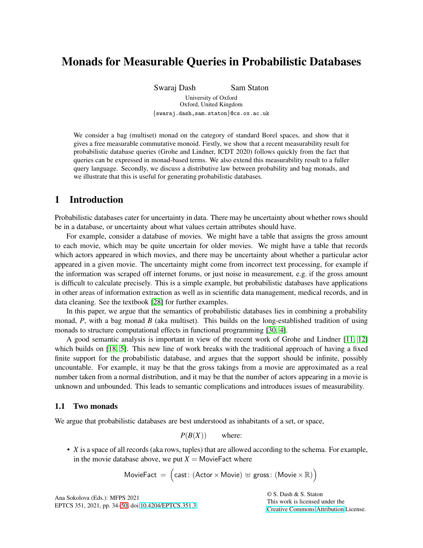# Monads for Measurable Queries in Probabilistic Databases

Swaraj Dash Sam Staton

University of Oxford Oxford, United Kingdom {swaraj.dash,sam.staton}@cs.ox.ac.uk

We consider a bag (multiset) monad on the category of standard Borel spaces, and show that it gives a free measurable commutative monoid. Firstly, we show that a recent measurability result for probabilistic database queries (Grohe and Lindner, ICDT 2020) follows quickly from the fact that queries can be expressed in monad-based terms. We also extend this measurability result to a fuller query language. Secondly, we discuss a distributive law between probability and bag monads, and we illustrate that this is useful for generating probabilistic databases.

## 1 Introduction

Probabilistic databases cater for uncertainty in data. There may be uncertainty about whether rows should be in a database, or uncertainty about what values certain attributes should have.

For example, consider a database of movies. We might have a table that assigns the gross amount to each movie, which may be quite uncertain for older movies. We might have a table that records which actors appeared in which movies, and there may be uncertainty about whether a particular actor appeared in a given movie. The uncertainty might come from incorrect text processing, for example if the information was scraped off internet forums, or just noise in measurement, e.g. if the gross amount is difficult to calculate precisely. This is a simple example, but probabilistic databases have applications in other areas of information extraction as well as in scientific data management, medical records, and in data cleaning. See the textbook [\[28\]](#page-16-1) for further examples.

In this paper, we argue that the semantics of probabilistic databases lies in combining a probability monad, *P*, with a bag monad *B* (aka multiset). This builds on the long-established tradition of using monads to structure computational effects in functional programming [\[30,](#page-16-2) [4\]](#page-15-0).

A good semantic analysis is important in view of the recent work of Grohe and Lindner [\[11,](#page-15-1) [12\]](#page-15-2) which builds on [\[18,](#page-15-3) [5\]](#page-15-4). This new line of work breaks with the traditional approach of having a fixed finite support for the probabilistic database, and argues that the support should be infinite, possibly uncountable. For example, it may be that the gross takings from a movie are approximated as a real number taken from a normal distribution, and it may be that the number of actors appearing in a movie is unknown and unbounded. This leads to semantic complications and introduces issues of measurability.

#### 1.1 Two monads

We argue that probabilistic databases are best understood as inhabitants of a set, or space,

*P*(*B*(*X*)) where:

• *X* is a space of all records (aka rows, tuples) that are allowed according to the schema. For example, in the movie database above, we put  $X =$  MovieFact where

$$
\text{MovieFact} \ = \ \Big( \text{cast: } (\text{Actor} \times \text{Movie}) \ \uplus \ \text{gross: } (\text{Movie} \times \mathbb{R}) \Big)
$$

Ana Sokolova (Eds.): MFPS 2021 EPTCS 351, 2021, pp. 34[–50,](#page-16-0) doi[:10.4204/EPTCS.351.3](http://dx.doi.org/10.4204/EPTCS.351.3) © S. Dash & S. Staton This work is licensed under the [Creative Commons](https://creativecommons.org) [Attribution](https://creativecommons.org/licenses/by/4.0/) License.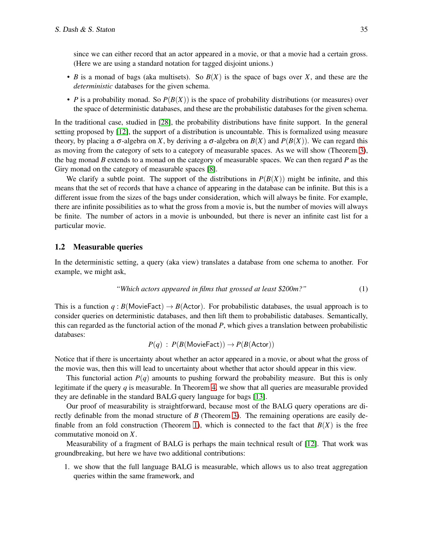since we can either record that an actor appeared in a movie, or that a movie had a certain gross. (Here we are using a standard notation for tagged disjoint unions.)

- *B* is a monad of bags (aka multisets). So *B*(*X*) is the space of bags over *X*, and these are the *deterministic* databases for the given schema.
- *P* is a probability monad. So  $P(B(X))$  is the space of probability distributions (or measures) over the space of deterministic databases, and these are the probabilistic databases for the given schema.

In the traditional case, studied in [\[28\]](#page-16-1), the probability distributions have finite support. In the general setting proposed by [\[12\]](#page-15-2), the support of a distribution is uncountable. This is formalized using measure theory, by placing a  $\sigma$ -algebra on *X*, by deriving a  $\sigma$ -algebra on *B*(*X*) and *P*(*B*(*X*)). We can regard this as moving from the category of sets to a category of measurable spaces. As we will show (Theorem [3\)](#page-8-0), the bag monad *B* extends to a monad on the category of measurable spaces. We can then regard *P* as the Giry monad on the category of measurable spaces [\[8\]](#page-15-5).

We clarify a subtle point. The support of the distributions in  $P(B(X))$  might be infinite, and this means that the set of records that have a chance of appearing in the database can be infinite. But this is a different issue from the sizes of the bags under consideration, which will always be finite. For example, there are infinite possibilities as to what the gross from a movie is, but the number of movies will always be finite. The number of actors in a movie is unbounded, but there is never an infinite cast list for a particular movie.

### 1.2 Measurable queries

In the deterministic setting, a query (aka view) translates a database from one schema to another. For example, we might ask,

<span id="page-1-0"></span>*"Which actors appeared in films that grossed at least \$200m?"* (1)

This is a function  $q : B(\text{MovieFact}) \to B(\text{Actor})$ . For probabilistic databases, the usual approach is to consider queries on deterministic databases, and then lift them to probabilistic databases. Semantically, this can regarded as the functorial action of the monad *P*, which gives a translation between probabilistic databases:

$$
P(q)
$$
 :  $P(B(\text{MovieFact})) \rightarrow P(B(\text{Actor}))$ 

Notice that if there is uncertainty about whether an actor appeared in a movie, or about what the gross of the movie was, then this will lead to uncertainty about whether that actor should appear in this view.

This functorial action  $P(q)$  amounts to pushing forward the probability measure. But this is only legitimate if the query *q* is measurable. In Theorem [4,](#page-11-0) we show that all queries are measurable provided they are definable in the standard BALG query language for bags [\[13\]](#page-15-6).

Our proof of measurability is straightforward, because most of the BALG query operations are directly definable from the monad structure of *B* (Theorem [3\)](#page-8-0). The remaining operations are easily de-finable from an fold construction (Theorem [1\)](#page-6-0), which is connected to the fact that  $B(X)$  is the free commutative monoid on *X*.

Measurability of a fragment of BALG is perhaps the main technical result of [\[12\]](#page-15-2). That work was groundbreaking, but here we have two additional contributions:

1. we show that the full language BALG is measurable, which allows us to also treat aggregation queries within the same framework, and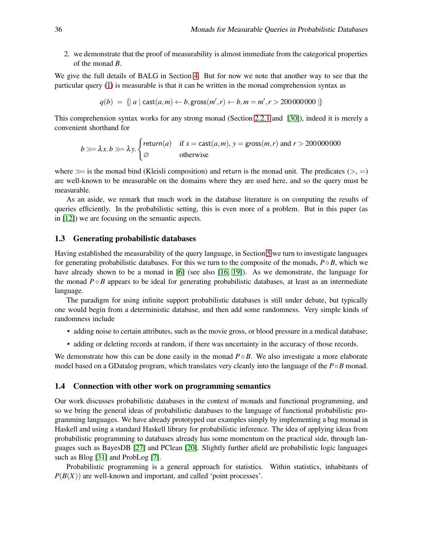2. we demonstrate that the proof of measurability is almost immediate from the categorical properties of the monad *B*.

We give the full details of BALG in Section [4.](#page-8-1) But for now we note that another way to see that the particular query [\(1\)](#page-1-0) is measurable is that it can be written in the monad comprehension syntax as

$$
q(b) = \{ |a| \mathop{\sf cast}(a,m) \leftarrow b, \mathop{\sf gross}(m',r) \leftarrow b, m = m', r > 20000000000 \, | \}
$$

This comprehension syntax works for any strong monad (Section [2.2.1](#page-4-0) and [\[30\]](#page-16-2)), indeed it is merely a convenient shorthand for

$$
b \gg \lambda x.b \gg \lambda y.
$$
   
  $\begin{cases} \text{return}(a) & \text{if } x = \text{cast}(a, m), y = \text{gross}(m, r) \text{ and } r > 2000000000 \\ \varnothing & \text{otherwise} \end{cases}$ 

where  $\gg$  is the monad bind (Kleisli composition) and return is the monad unit. The predicates ( $\gt$ ,  $=$ ) are well-known to be measurable on the domains where they are used here, and so the query must be measurable.

As an aside, we remark that much work in the database literature is on computing the results of queries efficiently. In the probabilistic setting, this is even more of a problem. But in this paper (as in [\[12\]](#page-15-2)) we are focusing on the semantic aspects.

#### 1.3 Generating probabilistic databases

Having established the measurability of the query language, in Section [5](#page-12-0) we turn to investigate languages for generating probabilistic databases. For this we turn to the composite of the monads,  $P \circ B$ , which we have already shown to be a monad in [\[6\]](#page-15-7) (see also [\[16,](#page-15-8) [19\]](#page-15-9)). As we demonstrate, the language for the monad  $P \circ B$  appears to be ideal for generating probabilistic databases, at least as an intermediate language.

The paradigm for using infinite support probabilistic databases is still under debate, but typically one would begin from a deterministic database, and then add some randomness. Very simple kinds of randomness include

- adding noise to certain attributes, such as the movie gross, or blood pressure in a medical database;
- adding or deleting records at random, if there was uncertainty in the accuracy of those records.

We demonstrate how this can be done easily in the monad  $P \circ B$ . We also investigate a more elaborate model based on a GDatalog program, which translates very cleanly into the language of the *P*◦*B* monad.

#### 1.4 Connection with other work on programming semantics

Our work discusses probabilistic databases in the context of monads and functional programming, and so we bring the general ideas of probabilistic databases to the language of functional probabilistic programming languages. We have already prototyped our examples simply by implementing a bag monad in Haskell and using a standard Haskell library for probabilistic inference. The idea of applying ideas from probabilistic programming to databases already has some momentum on the practical side, through languages such as BayesDB [\[27\]](#page-16-3) and PClean [\[20\]](#page-15-10). Slightly further afield are probabilistic logic languages such as Blog [\[31\]](#page-16-4) and ProbLog [\[7\]](#page-15-11).

Probabilistic programming is a general approach for statistics. Within statistics, inhabitants of  $P(B(X))$  are well-known and important, and called 'point processes'.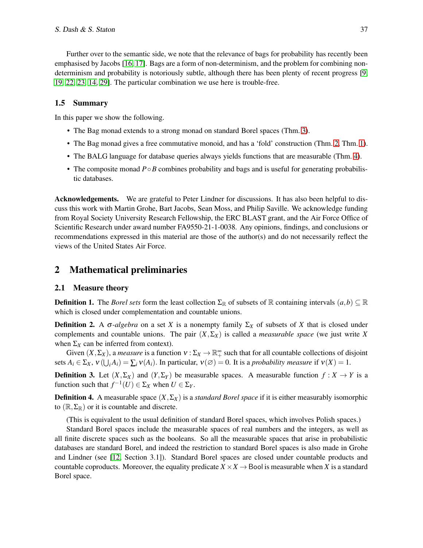Further over to the semantic side, we note that the relevance of bags for probability has recently been emphasised by Jacobs [\[16,](#page-15-8) [17\]](#page-15-12). Bags are a form of non-determinism, and the problem for combining nondeterminism and probability is notoriously subtle, although there has been plenty of recent progress [\[9,](#page-15-13) [19,](#page-15-9) [22,](#page-15-14) [23,](#page-15-15) [14,](#page-15-16) [29\]](#page-16-5). The particular combination we use here is trouble-free.

## 1.5 Summary

In this paper we show the following.

- The Bag monad extends to a strong monad on standard Borel spaces (Thm. [3\)](#page-8-0).
- The Bag monad gives a free commutative monoid, and has a 'fold' construction (Thm. [2,](#page-7-0) Thm. [1\)](#page-6-0).
- The BALG language for database queries always yields functions that are measurable (Thm. [4\)](#page-11-0).
- The composite monad *P*◦*B* combines probability and bags and is useful for generating probabilistic databases.

Acknowledgements. We are grateful to Peter Lindner for discussions. It has also been helpful to discuss this work with Martin Grohe, Bart Jacobs, Sean Moss, and Philip Saville. We acknowledge funding from Royal Society University Research Fellowship, the ERC BLAST grant, and the Air Force Office of Scientific Research under award number FA9550-21-1-0038. Any opinions, findings, and conclusions or recommendations expressed in this material are those of the author(s) and do not necessarily reflect the views of the United States Air Force.

## 2 Mathematical preliminaries

### 2.1 Measure theory

**Definition 1.** The *Borel sets* form the least collection  $\Sigma_{\mathbb{R}}$  of subsets of  $\mathbb{R}$  containing intervals  $(a,b) \subseteq \mathbb{R}$ which is closed under complementation and countable unions.

**Definition 2.** A σ-*algebra* on a set *X* is a nonempty family  $\Sigma_X$  of subsets of *X* that is closed under complements and countable unions. The pair (*X*,Σ*X*) is called a *measurable space* (we just write *X* when  $\Sigma_X$  can be inferred from context).

Given  $(X, \Sigma_X)$ , a *measure* is a function  $v : \Sigma_X \to \mathbb{R}^\infty_+$  such that for all countable collections of disjoint sets  $A_i \in \Sigma_X$ ,  $v(\bigcup_i A_i) = \sum_i v(A_i)$ . In particular,  $v(\emptyset) = 0$ . It is a *probability measure* if  $v(X) = 1$ .

**Definition 3.** Let  $(X, \Sigma_X)$  and  $(Y, \Sigma_Y)$  be measurable spaces. A measurable function  $f: X \to Y$  is a function such that  $f^{-1}(U) \in \Sigma_X$  when  $U \in \Sigma_Y$ .

**Definition 4.** A measurable space  $(X, \Sigma_X)$  is a *standard Borel space* if it is either measurably isomorphic to  $(\mathbb{R}, \Sigma_{\mathbb{R}})$  or it is countable and discrete.

(This is equivalent to the usual definition of standard Borel spaces, which involves Polish spaces.)

Standard Borel spaces include the measurable spaces of real numbers and the integers, as well as all finite discrete spaces such as the booleans. So all the measurable spaces that arise in probabilistic databases are standard Borel, and indeed the restriction to standard Borel spaces is also made in Grohe and Lindner (see [\[12,](#page-15-2) Section 3.1]). Standard Borel spaces are closed under countable products and countable coproducts. Moreover, the equality predicate  $X \times X \rightarrow$  Bool is measurable when *X* is a standard Borel space.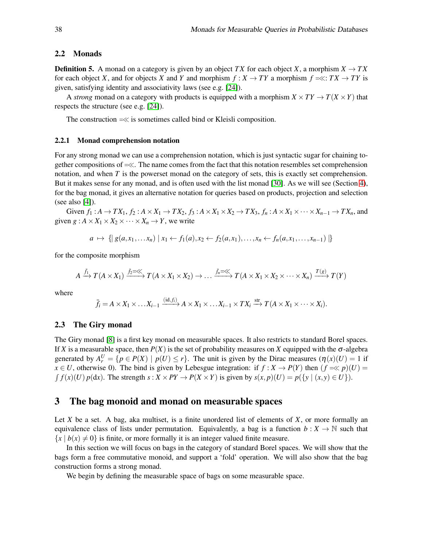## 2.2 Monads

**Definition 5.** A monad on a category is given by an object *TX* for each object *X*, a morphism  $X \to TX$ for each object *X*, and for objects *X* and *Y* and morphism  $f : X \to TY$  a morphism  $f = \ll: TX \to TY$  is given, satisfying identity and associativity laws (see e.g. [\[24\]](#page-16-6)).

A *strong* monad on a category with products is equipped with a morphism  $X \times TY \to T(X \times Y)$  that respects the structure (see e.g. [\[24\]](#page-16-6)).

The construction  $=\ll$  is sometimes called bind or Kleisli composition.

#### <span id="page-4-0"></span>2.2.1 Monad comprehension notation

For any strong monad we can use a comprehension notation, which is just syntactic sugar for chaining together compositions of <sup>=</sup><<. The name comes from the fact that this notation resembles set comprehension notation, and when *T* is the powerset monad on the category of sets, this is exactly set comprehension. But it makes sense for any monad, and is often used with the list monad [\[30\]](#page-16-2). As we will see (Section [4\)](#page-8-1), for the bag monad, it gives an alternative notation for queries based on products, projection and selection (see also [\[4\]](#page-15-0)).

Given  $f_1: A \to TX_1$ ,  $f_2: A \times X_1 \to TX_2$ ,  $f_3: A \times X_1 \times X_2 \to TX_3$ ,  $f_n: A \times X_1 \times \cdots \times X_{n-1} \to TX_n$ , and given  $g: A \times X_1 \times X_2 \times \cdots \times X_n \rightarrow Y$ , we write

$$
a \mapsto \{ | g(a,x_1,...x_n) | x_1 \leftarrow f_1(a), x_2 \leftarrow f_2(a,x_1),...,x_n \leftarrow f_n(a,x_1,...,x_{n-1}) | \}
$$

for the composite morphism

$$
A \xrightarrow{\bar{f}_1} T(A \times X_1) \xrightarrow{\bar{f}_2 = \ll} T(A \times X_1 \times X_2) \to \dots \xrightarrow{\bar{f}_n = \ll} T(A \times X_1 \times X_2 \times \dots \times X_n) \xrightarrow{T(g)} T(Y)
$$

where

$$
\bar{f}_i = A \times X_1 \times \ldots X_{i-1} \xrightarrow{(\mathrm{id}, f_i)} A \times X_1 \times \ldots X_{i-1} \times TX_i \xrightarrow{\mathrm{str}} T(A \times X_1 \times \cdots \times X_i).
$$

#### 2.3 The Giry monad

The Giry monad [\[8\]](#page-15-5) is a first key monad on measurable spaces. It also restricts to standard Borel spaces. If *X* is a measurable space, then  $P(X)$  is the set of probability measures on *X* equipped with the  $\sigma$ -algebra generated by  $A_r^U = \{p \in P(X) \mid p(U) \le r\}$ . The unit is given by the Dirac measures  $(\eta(x)(U) = 1)$  if *x* ∈ *U*, otherwise 0). The bind is given by Lebesgue integration: if  $f : X \to P(Y)$  then  $(f \ll p)(U) =$  $\int f(x)(U) p(dx)$ . The strength  $s: X \times PY \to P(X \times Y)$  is given by  $s(x, p)(U) = p(\{y \mid (x, y) \in U\})$ .

## <span id="page-4-1"></span>3 The bag monoid and monad on measurable spaces

Let *X* be a set. A bag, aka multiset, is a finite unordered list of elements of *X*, or more formally an equivalence class of lists under permutation. Equivalently, a bag is a function  $b : X \to \mathbb{N}$  such that  ${x | b(x) \neq 0}$  is finite, or more formally it is an integer valued finite measure.

In this section we will focus on bags in the category of standard Borel spaces. We will show that the bags form a free commutative monoid, and support a 'fold' operation. We will also show that the bag construction forms a strong monad.

We begin by defining the measurable space of bags on some measurable space.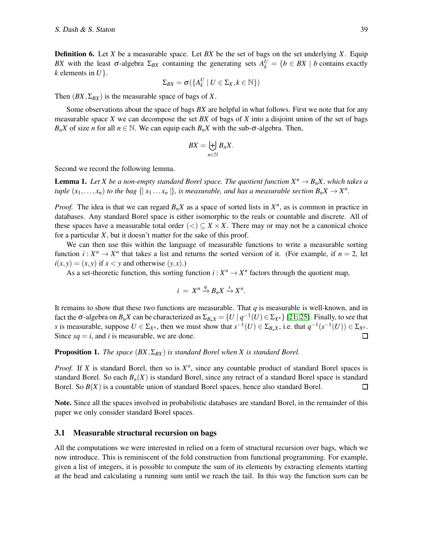Definition 6. Let *X* be a measurable space. Let *BX* be the set of bags on the set underlying *X*. Equip *BX* with the least  $\sigma$ -algebra  $\Sigma_{BX}$  containing the generating sets  $A_k^U = \{b \in BX \mid b \text{ contains exactly } 0 \}$ *k* elements in *U*}.

$$
\Sigma_{BX} = \sigma(\{A_k^U \mid U \in \Sigma_X, k \in \mathbb{N}\})
$$

Then  $(BX, \Sigma_{BX})$  is the measurable space of bags of X.

Some observations about the space of bags *BX* are helpful in what follows. First we note that for any measurable space *X* we can decompose the set *BX* of bags of *X* into a disjoint union of the set of bags *B<sub>n</sub>X* of size *n* for all  $n \in \mathbb{N}$ . We can equip each *B<sub>n</sub>X* with the sub- $\sigma$ -algebra. Then,

$$
BX = \biguplus_{n \in \mathbb{N}} B_n X.
$$

Second we record the following lemma.

<span id="page-5-0"></span>**Lemma 1.** Let X be a non-empty standard Borel space. The quotient function  $X^n \to B_n X$ , which takes a *tuple*  $(x_1, \ldots, x_n)$  *to the bag*  $\{ |x_1 \ldots x_n| \}$ *, is measurable, and has a measurable section*  $B_n X \to X^n$ *.* 

*Proof.* The idea is that we can regard  $B_nX$  as a space of sorted lists in  $X^n$ , as is common in practice in databases. Any standard Borel space is either isomorphic to the reals or countable and discrete. All of these spaces have a measurable total order  $(<) \subseteq X \times X$ . There may or may not be a canonical choice for a particular *X*, but it doesn't matter for the sake of this proof.

We can then use this within the language of measurable functions to write a measurable sorting function  $i: X^n \to X^n$  that takes a list and returns the sorted version of it. (For example, if  $n = 2$ , let  $i(x, y) = (x, y)$  if  $x < y$  and otherwise  $(y, x)$ .)

As a set-theoretic function, this sorting function  $i: X^n \to X^n$  factors through the quotient map,

$$
i = X^n \stackrel{q}{\to} B_n X \stackrel{s}{\to} X^n.
$$

It remains to show that these two functions are measurable. That *q* is measurable is well-known, and in fact the  $\sigma$ -algebra on  $B_nX$  can be characterized as  $\Sigma_{B_nX} = \{U \mid q^{-1}(U) \in \Sigma_{X^n}\}\$  [\[21,](#page-15-17) [25\]](#page-16-7). Finally, to see that *s* is measurable, suppose  $U \in \Sigma_{X^n}$ , then we must show that  $s^{-1}(U) \in \Sigma_{B_nX}$ , i.e. that  $q^{-1}(s^{-1}(U)) \in \Sigma_{X^n}$ . Since  $sq = i$ , and *i* is measurable, we are done.  $\Box$ 

#### **Proposition 1.** *The space*  $(BX, \Sigma_{BX})$  *is standard Borel when* X *is standard Borel.*

*Proof.* If *X* is standard Borel, then so is  $X^n$ , since any countable product of standard Borel spaces is standard Borel. So each *Bn*(*X*) is standard Borel, since any retract of a standard Borel space is standard Borel. So  $B(X)$  is a countable union of standard Borel spaces, hence also standard Borel.  $\Box$ 

Note. Since all the spaces involved in probabilistic databases are standard Borel, in the remainder of this paper we only consider standard Borel spaces.

### 3.1 Measurable structural recursion on bags

All the computations we were interested in relied on a form of structural recursion over bags, which we now introduce. This is reminiscent of the fold construction from functional programming. For example, given a list of integers, it is possible to compute the sum of its elements by extracting elements starting at the head and calculating a running sum until we reach the tail. In this way the function sum can be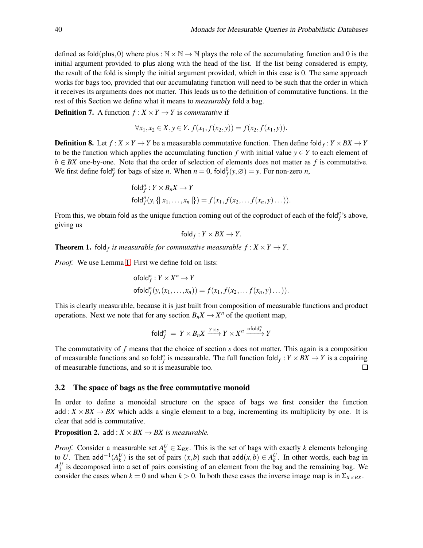defined as fold(plus, 0) where plus :  $\mathbb{N} \times \mathbb{N} \to \mathbb{N}$  plays the role of the accumulating function and 0 is the initial argument provided to plus along with the head of the list. If the list being considered is empty, the result of the fold is simply the initial argument provided, which in this case is 0. The same approach works for bags too, provided that our accumulating function will need to be such that the order in which it receives its arguments does not matter. This leads us to the definition of commutative functions. In the rest of this Section we define what it means to *measurably* fold a bag.

**Definition 7.** A function  $f: X \times Y \rightarrow Y$  is *commutative* if

$$
\forall x_1, x_2 \in X, y \in Y. \ f(x_1, f(x_2, y)) = f(x_2, f(x_1, y)).
$$

**Definition 8.** Let  $f: X \times Y \to Y$  be a measurable commutative function. Then define fold $f: Y \times BX \to Y$ to be the function which applies the accumulating function *f* with initial value  $y \in Y$  to each element of  $b \in BX$  one-by-one. Note that the order of selection of elements does not matter as f is commutative. We first define fold<sup>*n*</sup> for bags of size *n*. When  $n = 0$ , fold $^0_f(y, \emptyset) = y$ . For non-zero *n*,

$$
\begin{aligned} &\text{fold}_f^n: Y \times B_n X \to Y \\ &\text{fold}_f^n(y, \{ |x_1, \ldots, x_n| \}) = f(x_1, f(x_2, \ldots f(x_n, y) \ldots)). \end{aligned}
$$

From this, we obtain fold as the unique function coming out of the coproduct of each of the fold $^n<sub>f</sub>$ 's above, giving us

$$
\mathsf{fold}_f: Y \times BX \to Y.
$$

<span id="page-6-0"></span>**Theorem 1.** fold<sub>f</sub> is measurable for commutative measurable  $f: X \times Y \rightarrow Y$ .

*Proof.* We use Lemma [1.](#page-5-0) First we define fold on lists:

ofold<sup>n</sup><sub>f</sub>: 
$$
Y \times X^n \to Y
$$
  
ofold<sup>n</sup><sub>f</sub> $(y, (x_1,...,x_n)) = f(x_1, f(x_2,...f(x_n,y)...)).$ 

This is clearly measurable, because it is just built from composition of measurable functions and product operations. Next we note that for any section  $B_n X \to X^n$  of the quotient map,

$$
\mathsf{fold}_f^n = Y \times B_n X \xrightarrow{Y \times s} Y \times X^n \xrightarrow{\mathsf{ofold}_f^n} Y
$$

The commutativity of *f* means that the choice of section *s* does not matter. This again is a composition of measurable functions and so fold<sup>*n*</sup> is measurable. The full function fold<sub>*f*</sub>:  $Y \times BX \rightarrow Y$  is a copairing of measurable functions, and so it is measurable too. П

### <span id="page-6-1"></span>3.2 The space of bags as the free commutative monoid

In order to define a monoidal structure on the space of bags we first consider the function add :  $X \times BX \rightarrow BX$  which adds a single element to a bag, incrementing its multiplicity by one. It is clear that add is commutative.

**Proposition 2.** add :  $X \times BX \rightarrow BX$  is measurable.

*Proof.* Consider a measurable set  $A_k^U \in \Sigma_{BX}$ . This is the set of bags with exactly *k* elements belonging to *U*. Then add<sup>-1</sup>( $A_k^U$ ) is the set of pairs  $(x, b)$  such that add $(x, b) \in A_k^U$ . In other words, each bag in  $A_k^U$  is decomposed into a set of pairs consisting of an element from the bag and the remaining bag. We consider the cases when  $k = 0$  and when  $k > 0$ . In both these cases the inverse image map is in  $\Sigma_{X \times BX}$ .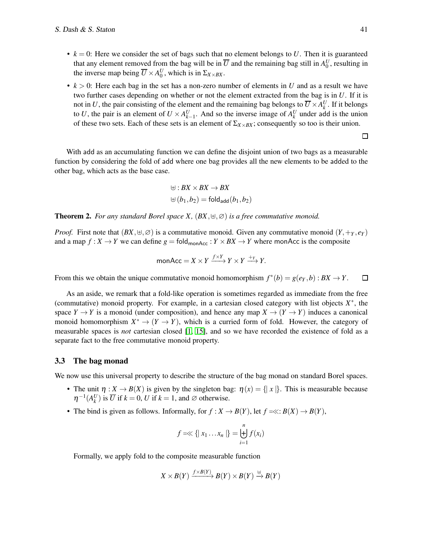- $k = 0$ : Here we consider the set of bags such that no element belongs to U. Then it is guaranteed that any element removed from the bag will be in  $\overline{U}$  and the remaining bag still in  $A_0^U$ , resulting in the inverse map being  $\overline{U} \times A_0^U$ , which is in  $\Sigma_{X \times BX}$ .
- $k > 0$ : Here each bag in the set has a non-zero number of elements in *U* and as a result we have two further cases depending on whether or not the element extracted from the bag is in *U*. If it is not in *U*, the pair consisting of the element and the remaining bag belongs to  $\overline{U} \times A_k^U$ . If it belongs to *U*, the pair is an element of  $U \times A_{k-1}^U$ . And so the inverse image of  $A_k^U$  under add is the union of these two sets. Each of these sets is an element of  $\Sigma_{X\times BX}$ ; consequently so too is their union.

 $\Box$ 

With add as an accumulating function we can define the disjoint union of two bags as a measurable function by considering the fold of add where one bag provides all the new elements to be added to the other bag, which acts as the base case.

$$
\begin{aligned} \uplus : BX \times BX &\to BX \\ \uplus (b_1, b_2) &= \text{fold}_{\text{add}}(b_1, b_2) \end{aligned}
$$

<span id="page-7-0"></span>**Theorem 2.** *For any standard Borel space X,*  $(BX, \forall, \emptyset)$  *is a free commutative monoid.* 

*Proof.* First note that  $(BX, \forall, \emptyset)$  is a commutative monoid. Given any commutative monoid  $(Y, +_Y, e_Y)$ and a map  $f: X \to Y$  we can define  $g = \text{fold}_{\text{monAcc}}: Y \times BX \to Y$  where monAcc is the composite

$$
monAcc = X \times Y \xrightarrow{f \times Y} Y \times Y \xrightarrow{+_{Y}} Y.
$$

From this we obtain the unique commutative monoid homomorphism  $f^*(b) = g(e_Y, b) : BX \to Y$ .  $\Box$ 

As an aside, we remark that a fold-like operation is sometimes regarded as immediate from the free (commutative) monoid property. For example, in a cartesian closed category with list objects  $X^*$ , the space  $Y \to Y$  is a monoid (under composition), and hence any map  $X \to (Y \to Y)$  induces a canonical monoid homomorphism  $X^* \to (Y \to Y)$ , which is a curried form of fold. However, the category of measurable spaces is *not* cartesian closed [\[1,](#page-14-0) [15\]](#page-15-18), and so we have recorded the existence of fold as a separate fact to the free commutative monoid property.

#### 3.3 The bag monad

We now use this universal property to describe the structure of the bag monad on standard Borel spaces.

- The unit  $\eta: X \to B(X)$  is given by the singleton bag:  $\eta(x) = \{ |x| \}$ . This is measurable because  $\eta^{-1}(A_k^U)$  is  $\overline{U}$  if  $k = 0$ ,  $U$  if  $k = 1$ , and  $\emptyset$  otherwise.
- The bind is given as follows. Informally, for  $f: X \to B(Y)$ , let  $f = \ll: B(X) \to B(Y)$ ,

$$
f = \ll \{ |x_1 ... x_n| \} = \biguplus_{i=1}^n f(x_i)
$$

Formally, we apply fold to the composite measurable function

$$
X\times B(Y)\xrightarrow{f\times B(Y)} B(Y)\times B(Y)\xrightarrow{\uplus} B(Y)
$$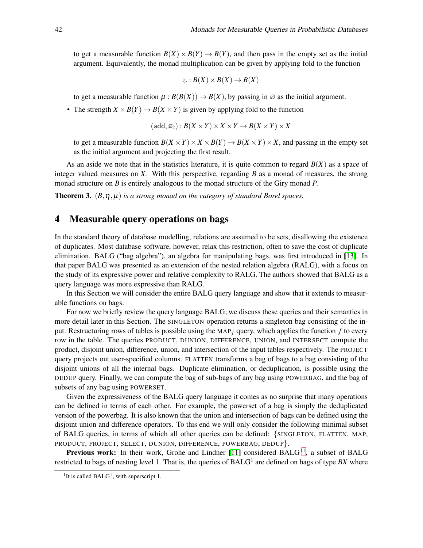to get a measurable function  $B(X) \times B(Y) \rightarrow B(Y)$ , and then pass in the empty set as the initial argument. Equivalently, the monad multiplication can be given by applying fold to the function

$$
\uplus : B(X) \times B(X) \to B(X)
$$

to get a measurable function  $\mu$  :  $B(B(X)) \to B(X)$ , by passing in  $\emptyset$  as the initial argument.

• The strength  $X \times B(Y) \to B(X \times Y)$  is given by applying fold to the function

$$
(\mathsf{add}, \pi_2): B(X \times Y) \times X \times Y \to B(X \times Y) \times X
$$

to get a measurable function  $B(X \times Y) \times X \times B(Y) \to B(X \times Y) \times X$ , and passing in the empty set as the initial argument and projecting the first result.

As an aside we note that in the statistics literature, it is quite common to regard  $B(X)$  as a space of integer valued measures on *X*. With this perspective, regarding *B* as a monad of measures, the strong monad structure on *B* is entirely analogous to the monad structure of the Giry monad *P*.

<span id="page-8-1"></span><span id="page-8-0"></span>**Theorem 3.**  $(B, \eta, \mu)$  *is a strong monad on the category of standard Borel spaces.* 

## 4 Measurable query operations on bags

In the standard theory of database modelling, relations are assumed to be sets, disallowing the existence of duplicates. Most database software, however, relax this restriction, often to save the cost of duplicate elimination. BALG ("bag algebra"), an algebra for manipulating bags, was first introduced in [\[13\]](#page-15-6). In that paper BALG was presented as an extension of the nested relation algebra (RALG), with a focus on the study of its expressive power and relative complexity to RALG. The authors showed that BALG as a query language was more expressive than RALG.

In this Section we will consider the entire BALG query language and show that it extends to measurable functions on bags.

For now we briefly review the query language BALG; we discuss these queries and their semantics in more detail later in this Section. The SINGLETON operation returns a singleton bag consisting of the input. Restructuring rows of tables is possible using the MAP *<sup>f</sup>* query, which applies the function *f* to every row in the table. The queries PRODUCT, DUNION, DIFFERENCE, UNION, and INTERSECT compute the product, disjoint union, difference, union, and intersection of the input tables respectively. The PROJECT query projects out user-specified columns. FLATTEN transforms a bag of bags to a bag consisting of the disjoint unions of all the internal bags. Duplicate elimination, or deduplication, is possible using the DEDUP query. Finally, we can compute the bag of sub-bags of any bag using POWERBAG, and the bag of subsets of any bag using POWERSET.

Given the expressiveness of the BALG query language it comes as no surprise that many operations can be defined in terms of each other. For example, the powerset of a bag is simply the deduplicated version of the powerbag. It is also known that the union and intersection of bags can be defined using the disjoint union and difference operators. To this end we will only consider the following minimal subset of BALG queries, in terms of which all other queries can be defined: {SINGLETON, FLATTEN, MAP, PRODUCT, PROJECT, SELECT, DUNION, DIFFERENCE, POWERBAG, DEDUP}.

Previous work: In their work, Grohe and Lindner  $[11]$  considered BALG<sup>[11](#page-8-2)</sup>, a subset of BALG restricted to bags of nesting level 1. That is, the queries of BALG<sup>1</sup> are defined on bags of type BX where

<span id="page-8-2"></span><sup>&</sup>lt;sup>1</sup>It is called BALG<sup>1</sup>, with superscript 1.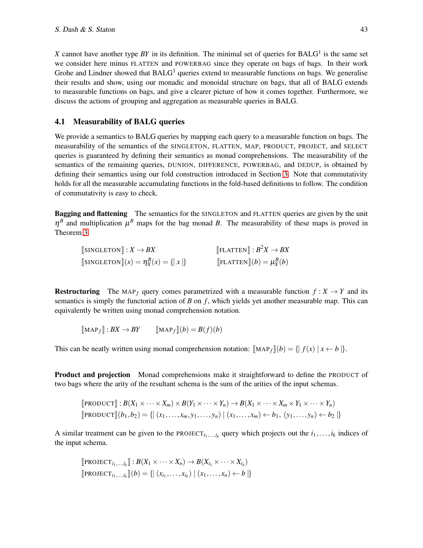X cannot have another type  $BY$  in its definition. The minimal set of queries for  $BALG<sup>1</sup>$  is the same set we consider here minus FLATTEN and POWERBAG since they operate on bags of bags. In their work Grohe and Lindner showed that  $BALG<sup>1</sup>$  queries extend to measurable functions on bags. We generalise their results and show, using our monadic and monoidal structure on bags, that all of BALG extends to measurable functions on bags, and give a clearer picture of how it comes together. Furthermore, we discuss the actions of grouping and aggregation as measurable queries in BALG.

## 4.1 Measurability of BALG queries

We provide a semantics to BALG queries by mapping each query to a measurable function on bags. The measurability of the semantics of the SINGLETON, FLATTEN, MAP, PRODUCT, PROJECT, and SELECT queries is guaranteed by defining their semantics as monad comprehensions. The measurability of the semantics of the remaining queries, DUNION, DIFFERENCE, POWERBAG, and DEDUP, is obtained by defining their semantics using our fold construction introduced in Section [3.](#page-4-1) Note that commutativity holds for all the measurable accumulating functions in the fold-based definitions to follow. The condition of commutativity is easy to check.

Bagging and flattening The semantics for the SINGLETON and FLATTEN queries are given by the unit  $\eta^B$  and multiplication  $\mu^B$  maps for the bag monad *B*. The measurability of these maps is proved in Theorem [3.](#page-8-0)

| $\llbracket$ SINGLETON $\rrbracket : X \rightarrow BX$            | $\llbracket$ FLATTEN $\rrbracket : B^2 X \to BX$  |
|-------------------------------------------------------------------|---------------------------------------------------|
| $\llbracket$ SINGLETON $\llbracket (x) = \eta_X^B(x) = \{  x  \}$ | $\llbracket$ FLATTEN $\rrbracket(b) = \mu_X^B(b)$ |

**Restructuring** The MAP<sub>f</sub> query comes parametrized with a measurable function  $f: X \rightarrow Y$  and its semantics is simply the functorial action of *B* on *f* , which yields yet another measurable map. This can equivalently be written using monad comprehension notation.

$$
[\![\mathbf{MAP}_f]\!]: BX \to BY \qquad [\![\mathbf{MAP}_f]\!](b) = B(f)(b)
$$

This can be neatly written using monad comprehension notation:  $\left[\text{MAP}_f\right](b) = \left\{ \left| f(x) \right| x \leftarrow b \right\}.$ 

Product and projection Monad comprehensions make it straightforward to define the PRODUCT of two bags where the arity of the resultant schema is the sum of the arities of the input schemas.

$$
\llbracket \text{PRODUCT} \rrbracket : B(X_1 \times \cdots \times X_m) \times B(Y_1 \times \cdots \times Y_n) \to B(X_1 \times \cdots \times X_m \times Y_1 \times \cdots \times Y_n)
$$
\n
$$
\llbracket \text{PRODUCT} \rrbracket (b_1, b_2) = \{ \mid (x_1, \ldots, x_m, y_1, \ldots, y_n) \mid (x_1, \ldots, x_m) \leftarrow b_1, (y_1, \ldots, y_n) \leftarrow b_2 \mid \}
$$

A similar treatment can be given to the PROJECT<sub>*i*1,...,*i<sub>k</sub>*</sub> query which projects out the  $i_1, \ldots, i_k$  indices of the input schema.

$$
\text{[PROJECT}_{i_1,\ldots,i_k}]: B(X_1 \times \cdots \times X_n) \to B(X_{i_1} \times \cdots \times X_{i_k})
$$
\n
$$
\text{[PROJECT}_{i_1,\ldots,i_k}](b) = \{ | (x_{i_1},\ldots,x_{i_k}) | (x_1,\ldots,x_n) \leftarrow b | \}
$$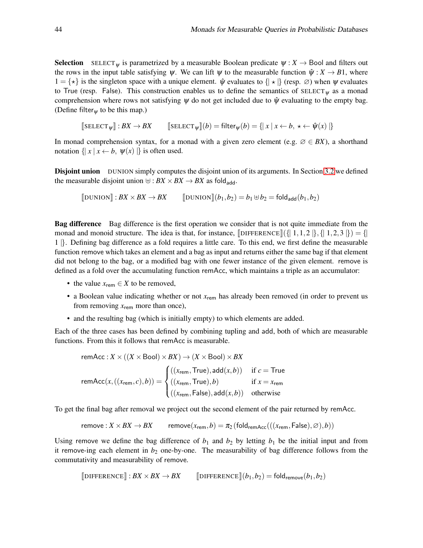**Selection** SELECT<sub>W</sub> is parametrized by a measurable Boolean predicate  $\psi : X \to$  Bool and filters out the rows in the input table satisfying  $\psi$ . We can lift  $\psi$  to the measurable function  $\hat{\psi}: X \to B1$ , where  $1 = \{ \star \}$  is the singleton space with a unique element.  $\hat{\psi}$  evaluates to  $\{ \star \}$  (resp.  $\emptyset$ ) when  $\psi$  evaluates to True (resp. False). This construction enables us to define the semantics of SELECT $_{\psi}$  as a monad comprehension where rows not satisfying  $\psi$  do not get included due to  $\hat{\psi}$  evaluating to the empty bag. (Define filter<sub>w</sub> to be this map.)

 $[\text{SELECT}_{\mathbf{W}}] : BX \to BX$   $[\text{SELECT}_{\mathbf{W}}](b) = \text{filter}_{\mathbf{W}}(b) = \{ |x | x \leftarrow b, x \leftarrow \hat{\mathbf{\Psi}}(x) | \}$ 

In monad comprehension syntax, for a monad with a given zero element (e.g.  $\varnothing \in BX$ ), a shorthand notation  $\{ | x | x \leftarrow b, \psi(x) | \}$  is often used.

**Disjoint union** DUNION simply computes the disjoint union of its arguments. In Section [3.2](#page-6-1) we defined the measurable disjoint union  $\forall$  :  $BX \times BX \rightarrow BX$  as fold<sub>add</sub>.

$$
\llbracket \text{DUNION} \rrbracket : BX \times BX \longrightarrow BX \qquad \llbracket \text{DUNION} \rrbracket (b_1, b_2) = b_1 \oplus b_2 = \text{fold}_{\text{add}}(b_1, b_2)
$$

Bag difference Bag difference is the first operation we consider that is not quite immediate from the monad and monoid structure. The idea is that, for instance,  $\left[DIFFERENCE\right]\left(\left\{1,1,2\right\},\left\{1,2,3\right\}\right) = \left\{1,2,3,4\right\}$ 1 |}. Defining bag difference as a fold requires a little care. To this end, we first define the measurable function remove which takes an element and a bag as input and returns either the same bag if that element did not belong to the bag, or a modified bag with one fewer instance of the given element. remove is defined as a fold over the accumulating function remAcc, which maintains a triple as an accumulator:

- the value  $x_{\text{rem}} \in X$  to be removed,
- a Boolean value indicating whether or not  $x_{\text{rem}}$  has already been removed (in order to prevent us from removing  $x_{\text{rem}}$  more than once),
- and the resulting bag (which is initially empty) to which elements are added.

Each of the three cases has been defined by combining tupling and add, both of which are measurable functions. From this it follows that remAcc is measurable.

remAcc: 
$$
X \times ((X \times \text{Bool}) \times BX) \rightarrow (X \times \text{Bool}) \times BX
$$
  
\nremAcc $(x, ((x_{\text{rem}}, c), b)) = \begin{cases} ((x_{\text{rem}}, \text{True}), \text{add}(x, b)) & \text{if } c = \text{True} \\ ((x_{\text{rem}}, \text{True}), b) & \text{if } x = x_{\text{rem}} \\ ((x_{\text{rem}}, \text{False}), \text{add}(x, b)) & \text{otherwise} \end{cases}$ 

To get the final bag after removal we project out the second element of the pair returned by remAcc.

$$
\mathsf{remove}: X \times BX \to BX \qquad \mathsf{remove}(x_{\mathsf{rem}},b) = \pi_2\left(\mathsf{fold}_{\mathsf{remAcc}}(((x_{\mathsf{rem}},\mathsf{False}),\varnothing),b)\right)
$$

Using remove we define the bag difference of  $b_1$  and  $b_2$  by letting  $b_1$  be the initial input and from it remove-ing each element in  $b_2$  one-by-one. The measurability of bag difference follows from the commutativity and measurability of remove.

$$
\llbracket \text{DIFFERENCE} \rrbracket : BX \times BX \longrightarrow BX \qquad \llbracket \text{DIFFERENCE} \rrbracket (b_1, b_2) = \text{fold}_{\text{remove}} (b_1, b_2)
$$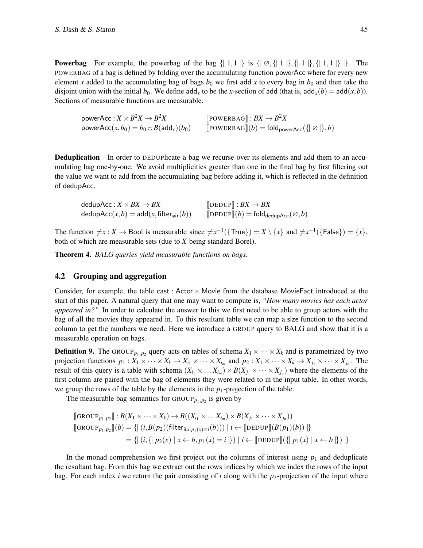**Powerbag** For example, the powerbag of the bag  $\{ | 1,1 | \}$  is  $\{ | \emptyset, \{ | 1 | \}, \{ | 1 | \}, \{ | 1,1 | \} | \}$ . The POWERBAG of a bag is defined by folding over the accumulating function powerAcc where for every new element *x* added to the accumulating bag of bags  $b_0$  we first add *x* to every bag in  $b_0$  and then take the disjoint union with the initial  $b_0$ . We define add<sub>*x*</sub> to be the *x*-section of add (that is, add<sub>*x*</sub>(*b*) = add(*x*,*b*)). Sections of measurable functions are measurable.

power $\mathsf{Acc}: X \times B^2 X \to B$  $[$ POWERBAG] :  $BX \to B^2X$  $\mathsf{powerAcc}(x, b_0) = b_0 \uplus B(\mathsf{add}_x)(b_0)$  [POWERBAG] $(b) = \mathsf{fold}_{\mathsf{powerAcc}}(\{\mid \varnothing \mid \}, b)$ 

**Deduplication** In order to DEDUPlicate a bag we recurse over its elements and add them to an accumulating bag one-by-one. We avoid multiplicities greater than one in the final bag by first filtering out the value we want to add from the accumulating bag before adding it, which is reflected in the definition of dedupAcc.

 $\text{dedupAcc}: X \times BX \to BX \quad \text{[DEDUP]}: BX \to BX \quad \text{dedupAcc}(x, b) = \text{add}(x, \text{filter}_{\neq x}(b)) \quad \text{[DEDUP]}(b) = \text{fold}_{\text{dedupAcc}}(\varnothing, b)$  $\text{dedupAcc}(x, b) = \text{add}(x, \text{filter}_{\neq x}(b))$ 

The function  $\neq x : X \to \text{Bool}$  is measurable since  $\neq x^{-1}(\{\text{True}\}) = X \setminus \{x\}$  and  $\neq x^{-1}(\{\text{False}\}) = \{x\}$ , both of which are measurable sets (due to *X* being standard Borel).

<span id="page-11-0"></span>Theorem 4. *BALG queries yield measurable functions on bags.*

### 4.2 Grouping and aggregation

Consider, for example, the table cast : Actor  $\times$  Movie from the database MovieFact introduced at the start of this paper. A natural query that one may want to compute is, *"How many movies has each actor appeared in?"* In order to calculate the answer to this we first need to be able to group actors with the bag of all the movies they appeared in. To this resultant table we can map a size function to the second column to get the numbers we need. Here we introduce a GROUP query to BALG and show that it is a measurable operation on bags.

**Definition 9.** The GROUP<sub>*p*1,*p*<sub>2</sub></sub> query acts on tables of schema  $X_1 \times \cdots \times X_k$  and is parametrized by two projection functions  $p_1: X_1 \times \cdots \times X_k \to X_{i_1} \times \cdots \times X_{i_m}$  and  $p_2: X_1 \times \cdots \times X_k \to X_{j_1} \times \cdots \times X_{j_n}$ . The result of this query is a table with schema  $(X_{i_1} \times \ldots \times X_{i_m}) \times B(X_{j_1} \times \cdots \times X_{j_n})$  where the elements of the first column are paired with the bag of elements they were related to in the input table. In other words, we group the rows of the table by the elements in the  $p_1$ -projection of the table.

The measurable bag-semantics for  $\text{GROUP}_{p_1, p_2}$  is given by

$$
\begin{aligned}\n\left[\text{GROUP}_{p_1,p_2}\right] : B(X_1 \times \cdots \times X_k) &\to B((X_{i_1} \times \cdots X_{i_m}) \times B(X_{j_1} \times \cdots \times X_{j_n})) \\
\left[\text{GROUP}_{p_1,p_2}\right](b) &= \left\{ \left| \ (i,B(p_2)(\text{filter}_{\lambda x,p_1(x)\equiv i}(b))) \mid i \leftarrow \left[\text{DEDUP}\right](B(p_1)(b)) \right| \right\} \\
&= \left\{ \left| \ (i,\{\mid p_2(x)\mid x \leftarrow b, p_1(x) = i \mid \}) \mid i \leftarrow \left[\text{DEDUP}\right](\{\mid p_1(x)\mid x \leftarrow b \mid \}) \right] \right.\right\}\n\end{aligned}
$$

In the monad comprehension we first project out the columns of interest using  $p_1$  and deduplicate the resultant bag. From this bag we extract out the rows indices by which we index the rows of the input bag. For each index *i* we return the pair consisting of *i* along with the  $p_2$ -projection of the input where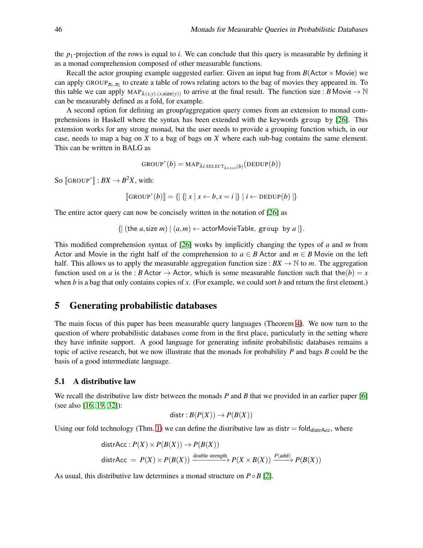the  $p_1$ -projection of the rows is equal to *i*. We can conclude that this query is measurable by defining it as a monad comprehension composed of other measurable functions.

Recall the actor grouping example suggested earlier. Given an input bag from  $B(\text{Actor} \times \text{Movie})$  we can apply GROUP $_{\pi_1,\pi_2}$  to create a table of rows relating actors to the bag of movies they appeared in. To this table we can apply  $MAP_{\lambda(x,y),(x,\text{size}(y))}$  to arrive at the final result. The function size: *B* Movie  $\rightarrow \mathbb{N}$ can be measurably defined as a fold, for example.

A second option for defining an group/aggregation query comes from an extension to monad comprehensions in Haskell where the syntax has been extended with the keywords group by [\[26\]](#page-16-8). This extension works for any strong monad, but the user needs to provide a grouping function which, in our case, needs to map a bag on *X* to a bag of bags on *X* where each sub-bag contains the same element. This can be written in BALG as

$$
\texttt{GROUP}^\star(b) = \texttt{MAP}_{\lambda i. \texttt{SELECT}_{\lambda x. x \equiv i}(b)}(\texttt{DEDUP}(b))
$$

So  $\llbracket$ GROUP' $\rrbracket : BX \to B^2X$ , with:

 $\left[\text{GROUP}'(b)\right] = \left\{ \left|\left|\left|\left|\left| x \right|\right| x \left| \right| \right| \right. \left\langle k \right| \left| k \right| \right| \in \text{DEDUP}(b) \right|\right\}$ 

The entire actor query can now be concisely written in the notation of [\[26\]](#page-16-8) as

 $\{|\left(\text{the } a, \text{size } m\right)| (a, m) \leftarrow \text{actorMovieTable}, \text{group by } a|\}.$ 

This modified comprehension syntax of [\[26\]](#page-16-8) works by implicitly changing the types of *a* and *m* from Actor and Movie in the right half of the comprehension to  $a \in B$  Actor and  $m \in B$  Movie on the left half. This allows us to apply the measurable aggregation function size :  $BX \to \mathbb{N}$  to *m*. The aggregation function used on *a* is the : *B* Actor  $\rightarrow$  Actor, which is some measurable function such that the(*b*) = *x* when *b* is a bag that only contains copies of *x*. (For example, we could sort *b* and return the first element.)

## <span id="page-12-0"></span>5 Generating probabilistic databases

The main focus of this paper has been measurable query languages (Theorem [4\)](#page-11-0). We now turn to the question of where probabilistic databases come from in the first place, particularly in the setting where they have infinite support. A good language for generating infinite probabilistic databases remains a topic of active research, but we now illustrate that the monads for probability *P* and bags *B* could be the basis of a good intermediate language.

#### 5.1 A distributive law

We recall the distributive law distributive the monads *P* and *B* that we provided in an earlier paper [\[6\]](#page-15-7) (see also [\[16,](#page-15-8) [19,](#page-15-9) [32\]](#page-16-9)):

$$
distr : B(P(X)) \to P(B(X))
$$

Using our fold technology (Thm. [1\)](#page-6-0) we can define the distributive law as distr = fold<sub>distrAcc</sub>, where

$$
distrAcc: P(X) \times P(B(X)) \to P(B(X))
$$
  
distrAcc =  $P(X) \times P(B(X)) \xrightarrow{\text{double strength}} P(X \times B(X)) \xrightarrow{P(\text{add})} P(B(X))$ 

As usual, this distributive law determines a monad structure on *P*◦*B* [\[2\]](#page-14-1).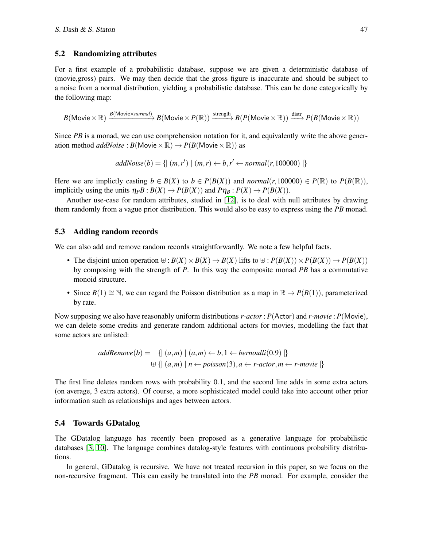### 5.2 Randomizing attributes

For a first example of a probabilistic database, suppose we are given a deterministic database of (movie,gross) pairs. We may then decide that the gross figure is inaccurate and should be subject to a noise from a normal distribution, yielding a probabilistic database. This can be done categorically by the following map:

 $B(\text{Movie} \times \mathbb{R}) \xrightarrow{B(\text{Movie} \times normal)} B(\text{Movie} \times P(\mathbb{R})) \xrightarrow{\text{strength}} B(P(\text{Movie} \times \mathbb{R})) \xrightarrow{\text{distr}} P(B(\text{Movie} \times \mathbb{R}))$ 

Since *PB* is a monad, we can use comprehension notation for it, and equivalently write the above generation method *addNoise* :  $B(\text{Movie} \times \mathbb{R}) \rightarrow P(B(\text{Movie} \times \mathbb{R}))$  as

$$
addNoise(b) = \{ (m,r') \mid (m,r) \leftarrow b, r' \leftarrow normal(r, 100000) \}
$$

Here we are implictly casting  $b \in B(X)$  to  $b \in P(B(X))$  and *normal*(*r*, 100000)  $\in P(\mathbb{R})$  to  $P(B(\mathbb{R}))$ , implicitly using the units  $\eta_P B : B(X) \to P(B(X))$  and  $P \eta_B : P(X) \to P(B(X))$ .

Another use-case for random attributes, studied in [\[12\]](#page-15-2), is to deal with null attributes by drawing them randomly from a vague prior distribution. This would also be easy to express using the *PB* monad.

### 5.3 Adding random records

We can also add and remove random records straightforwardly. We note a few helpful facts.

- The disjoint union operation  $⊎ : B(X) \times B(X) \rightarrow B(X)$  lifts to  $⊮ : P(B(X)) \times P(B(X)) \rightarrow P(B(X))$ by composing with the strength of *P*. In this way the composite monad *PB* has a commutative monoid structure.
- Since  $B(1) \cong \mathbb{N}$ , we can regard the Poisson distribution as a map in  $\mathbb{R} \to P(B(1))$ , parameterized by rate.

Now supposing we also have reasonably uniform distributions *r*-*actor* : *P*(Actor) and *r*-*movie* : *P*(Movie), we can delete some credits and generate random additional actors for movies, modelling the fact that some actors are unlisted:

$$
addRemove(b) = \{ | (a,m) | (a,m) \leftarrow b, 1 \leftarrow bernoulli(0.9) | \}
$$
  

$$
\uplus \{ | (a,m) | n \leftarrow poisson(3), a \leftarrow r\text{-}actor, m \leftarrow r\text{-}move | \}
$$

The first line deletes random rows with probability 0.1, and the second line adds in some extra actors (on average, 3 extra actors). Of course, a more sophisticated model could take into account other prior information such as relationships and ages between actors.

#### 5.4 Towards GDatalog

The GDatalog language has recently been proposed as a generative language for probabilistic databases [\[3,](#page-15-19) [10\]](#page-15-20). The language combines datalog-style features with continuous probability distributions.

In general, GDatalog is recursive. We have not treated recursion in this paper, so we focus on the non-recursive fragment. This can easily be translated into the *PB* monad. For example, consider the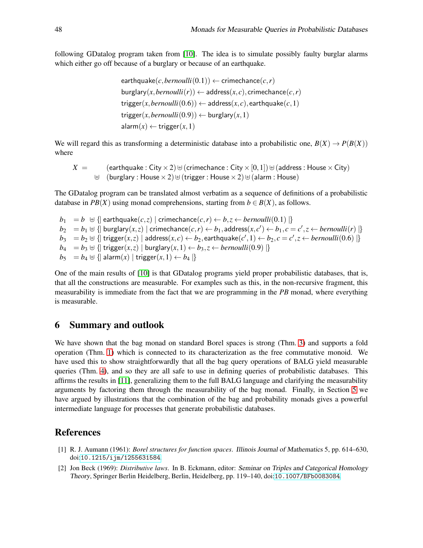following GDatalog program taken from [\[10\]](#page-15-20). The idea is to simulate possibly faulty burglar alarms which either go off because of a burglary or because of an earthquake.

```
\text{earthquake}(c, bernoulli(0.1)) \leftarrow \text{crimechance}(c, r)burglary(x,bernoulli(r)) \leftarrow address(x, c), crimechance(c, r)\langle x, \text{Bernoulli}(0.6) \rangle \leftarrow \text{address}(x, c), \text{earthquake}(c, 1)trigger(x,bernoulli(0.9)) \leftarrow burglary(x,1)\mathsf{alarm}(x) \leftarrow \mathsf{trigger}(x,1)
```
We will regard this as transforming a deterministic database into a probabilistic one,  $B(X) \rightarrow P(B(X))$ where

$$
X = (\text{earthquake}: \text{City} \times 2) \uplus (\text{crimechance}: \text{City} \times [0,1]) \uplus (\text{address}: \text{House} \times \text{City})
$$
  

$$
\uplus (\text{burglary}: \text{House} \times 2) \uplus (\text{trigger}: \text{House} \times 2) \uplus (\text{alarm}: \text{House})
$$

The GDatalog program can be translated almost verbatim as a sequence of definitions of a probabilistic database in *PB*(*X*) using monad comprehensions, starting from  $b \in B(X)$ , as follows.

*b*<sub>1</sub> = *b* ⊎ {| earthquake $(c, z)$  | crimechance $(c, r)$  ← *b*,*z* ← *bernoulli*(0.1) |} *b*<sub>2</sub> = *b*<sub>1</sub> ⊎ {| burglary(*x*,*z*) | crimechance(*c*,*r*) ← *b*<sub>1</sub>,address(*x*,*c*') ← *b*<sub>1</sub>,*c* = *c'*,*z* ← *bernoulli*(*r*) |} *b*<sub>3</sub> = *b*<sub>2</sub> ⊎ {| trigger(*x*,*z*) | address(*x*,*c*) ← *b*<sub>2</sub>, earthquake(*c'*,1) ← *b*<sub>2</sub>, *c* = *c'*, *z* ← *bernoulli*(0.6) |} *b*<sub>4</sub> = *b*<sub>3</sub> ⊎ {| trigger(*x*,*z*) | burglary(*x*, 1) ← *b*<sub>3</sub>,*z* ← *bernoulli*(0.9) |} *b*<sub>5</sub> = *b*<sub>4</sub>  $\uplus$  {| alarm(*x*) | trigger(*x*, 1) ← *b*<sub>4</sub> |}

One of the main results of [\[10\]](#page-15-20) is that GDatalog programs yield proper probabilistic databases, that is, that all the constructions are measurable. For examples such as this, in the non-recursive fragment, this measurability is immediate from the fact that we are programming in the *PB* monad, where everything is measurable.

## 6 Summary and outlook

We have shown that the bag monad on standard Borel spaces is strong (Thm. [3\)](#page-8-0) and supports a fold operation (Thm. [1\)](#page-6-0) which is connected to its characterization as the free commutative monoid. We have used this to show straightforwardly that all the bag query operations of BALG yield measurable queries (Thm. [4\)](#page-11-0), and so they are all safe to use in defining queries of probabilistic databases. This affirms the results in [\[11\]](#page-15-1), generalizing them to the full BALG language and clarifying the measurability arguments by factoring them through the measurability of the bag monad. Finally, in Section [5](#page-12-0) we have argued by illustrations that the combination of the bag and probability monads gives a powerful intermediate language for processes that generate probabilistic databases.

## References

- <span id="page-14-0"></span>[1] R. J. Aumann (1961): *Borel structures for function spaces*. Illinois Journal of Mathematics 5, pp. 614–630, doi:[10.1215/ijm/1255631584](http://dx.doi.org/10.1215/ijm/1255631584).
- <span id="page-14-1"></span>[2] Jon Beck (1969): *Distributive laws*. In B. Eckmann, editor: Seminar on Triples and Categorical Homology Theory, Springer Berlin Heidelberg, Berlin, Heidelberg, pp. 119–140, doi:[10.1007/BFb0083084](http://dx.doi.org/10.1007/BFb0083084).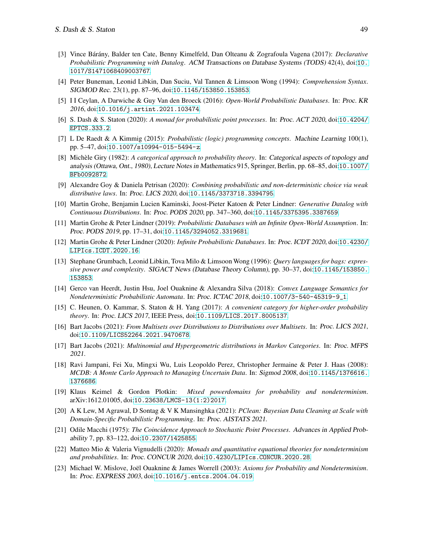- <span id="page-15-19"></span>[3] Vince B´ar´any, Balder ten Cate, Benny Kimelfeld, Dan Olteanu & Zografoula Vagena (2017): *Declarative Probabilistic Programming with Datalog*. ACM Transactions on Database Systems (TODS) 42(4), doi:[10.](http://dx.doi.org/10.1017/S1471068409003767) [1017/S1471068409003767](http://dx.doi.org/10.1017/S1471068409003767).
- <span id="page-15-0"></span>[4] Peter Buneman, Leonid Libkin, Dan Suciu, Val Tannen & Limsoon Wong (1994): *Comprehension Syntax*. SIGMOD Rec. 23(1), pp. 87–96, doi:[10.1145/153850.153853](http://dx.doi.org/10.1145/153850.153853).
- <span id="page-15-4"></span>[5] I I Ceylan, A Darwiche & Guy Van den Broeck (2016): *Open-World Probabilistic Databases*. In: Proc. KR <sup>2016</sup>, doi:[10.1016/j.artint.2021.103474](http://dx.doi.org/10.1016/j.artint.2021.103474).
- <span id="page-15-11"></span><span id="page-15-7"></span>[6] S. Dash & S. Staton (2020): *A monad for probabilistic point processes*. In: Proc. ACT <sup>2020</sup>, doi:[10.4204/](http://dx.doi.org/10.4204/EPTCS.333.2) [EPTCS.333.2](http://dx.doi.org/10.4204/EPTCS.333.2).
- [7] L De Raedt & A Kimmig (2015): *Probabilistic (logic) programming concepts*. Machine Learning 100(1), pp. 5–47, doi:[10.1007/s10994-015-5494-z](http://dx.doi.org/10.1007/s10994-015-5494-z).
- <span id="page-15-5"></span>[8] Mich`ele Giry (1982): *A categorical approach to probability theory*. In: Categorical aspects of topology and analysis (Ottawa, Ont., 1980), Lecture Notes in Mathematics 915, Springer, Berlin, pp. 68–85, doi:[10.1007/](http://dx.doi.org/10.1007/BFb0092872) [BFb0092872](http://dx.doi.org/10.1007/BFb0092872).
- <span id="page-15-13"></span>[9] Alexandre Goy & Daniela Petrisan (2020): *Combining probabilistic and non-deterministic choice via weak distributive laws*. In: Proc. LICS <sup>2020</sup>, doi:[10.1145/3373718.3394795](http://dx.doi.org/10.1145/3373718.3394795).
- <span id="page-15-20"></span>[10] Martin Grohe, Benjamin Lucien Kaminski, Joost-Pieter Katoen & Peter Lindner: *Generative Datalog with Continuous Distributions*. In: Proc. PODS <sup>2020</sup>, pp. 347–360, doi:[10.1145/3375395.3387659](http://dx.doi.org/10.1145/3375395.3387659).
- <span id="page-15-1"></span>[11] Martin Grohe & Peter Lindner (2019): *Probabilistic Databases with an Infinite Open-World Assumption*. In: Proc. PODS <sup>2019</sup>, pp. 17–31, doi:[10.1145/3294052.3319681](http://dx.doi.org/10.1145/3294052.3319681).
- <span id="page-15-6"></span><span id="page-15-2"></span>[12] Martin Grohe & Peter Lindner (2020): *Infinite Probabilistic Databases*. In: Proc. ICDT <sup>2020</sup>, doi:[10.4230/](http://dx.doi.org/10.4230/LIPIcs.ICDT.2020.16) [LIPIcs.ICDT.2020.16](http://dx.doi.org/10.4230/LIPIcs.ICDT.2020.16).
- [13] Stephane Grumbach, Leonid Libkin, Tova Milo & Limsoon Wong (1996): *Query languages for bags: expressive power and complexity*. SIGACT News (Database Theory Column), pp. 30–37, doi:[10.1145/153850.](http://dx.doi.org/10.1145/153850.153853) [153853](http://dx.doi.org/10.1145/153850.153853).
- <span id="page-15-16"></span>[14] Gerco van Heerdt, Justin Hsu, Joel Ouaknine & Alexandra Silva (2018): *Convex Language Semantics for Nondeterministic Probabilistic Automata*. In: Proc. ICTAC <sup>2018</sup>, doi:[10.1007/3-540-45319-9\\_1](http://dx.doi.org/10.1007/3-540-45319-9_1).
- <span id="page-15-18"></span>[15] C. Heunen, O. Kammar, S. Staton & H. Yang (2017): *A convenient category for higher-order probability theory*. In: Proc. LICS <sup>2017</sup>, IEEE Press, doi:[10.1109/LICS.2017.8005137](http://dx.doi.org/10.1109/LICS.2017.8005137).
- <span id="page-15-8"></span>[16] Bart Jacobs (2021): *From Multisets over Distributions to Distributions over Multisets*. In: Proc. LICS <sup>2021</sup>, doi:[10.1109/LICS52264.2021.9470678](http://dx.doi.org/10.1109/LICS52264.2021.9470678).
- <span id="page-15-12"></span>[17] Bart Jacobs (2021): *Multinomial and Hypergeometric distributions in Markov Categories*. In: Proc. MFPS <sup>2021</sup>.
- <span id="page-15-3"></span>[18] Ravi Jampani, Fei Xu, Mingxi Wu, Luis Leopoldo Perez, Christopher Jermaine & Peter J. Haas (2008): *MCDB: A Monte Carlo Approach to Managing Uncertain Data*. In: Sigmod <sup>2008</sup>, doi:[10.1145/1376616.](http://dx.doi.org/10.1145/1376616.1376686) [1376686](http://dx.doi.org/10.1145/1376616.1376686).
- <span id="page-15-9"></span>[19] Klaus Keimel & Gordon Plotkin: *Mixed powerdomains for probability and nondeterminism*. arXiv:1612.01005, doi:[10.23638/LMCS-13\(1:2\)2017](http://dx.doi.org/10.23638/LMCS-13(1:2)2017).
- <span id="page-15-10"></span>[20] A K Lew, M Agrawal, D Sontag & V K Mansinghka (2021): *PClean: Bayesian Data Cleaning at Scale with Domain-Specific Probabilistic Programming*. In: Proc. AISTATS <sup>2021</sup>.
- <span id="page-15-17"></span>[21] Odile Macchi (1975): *The Coincidence Approach to Stochastic Point Processes*. Advances in Applied Probability 7, pp. 83–122, doi:[10.2307/1425855](http://dx.doi.org/10.2307/1425855).
- <span id="page-15-14"></span>[22] Matteo Mio & Valeria Vignudelli (2020): *Monads and quantitative equational theories for nondeterminism and probabilities*. In: Proc. CONCUR <sup>2020</sup>, doi:[10.4230/LIPIcs.CONCUR.2020.28](http://dx.doi.org/10.4230/LIPIcs.CONCUR.2020.28).
- <span id="page-15-15"></span>[23] Michael W. Mislove, Joël Ouaknine & James Worrell (2003): *Axioms for Probability and Nondeterminism*. In: Proc. EXPRESS <sup>2003</sup>, doi:[10.1016/j.entcs.2004.04.019](http://dx.doi.org/10.1016/j.entcs.2004.04.019).